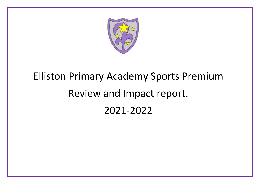

## Elliston Primary Academy Sports Premium Review and Impact report. 2021-2022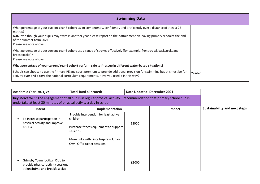| <b>Swimming Data</b>                                                                                                                                                                                                                                                                                                      |        |
|---------------------------------------------------------------------------------------------------------------------------------------------------------------------------------------------------------------------------------------------------------------------------------------------------------------------------|--------|
| What percentage of your current Year 6 cohort swim competently, confidently and proficiently over a distance of atleast 25<br>metres?<br>N.B. Even though your pupils may swim in another year please report on their attainment on leaving primary schoolat the end<br>of the summer term 2021.<br>Please see note above |        |
| What percentage of your current Year 6 cohort use a range of strokes effectively [for example, front crawl, backstrokeand<br>breaststroke]?<br>Please see note above                                                                                                                                                      |        |
| What percentage of your current Year 6 cohort perform safe self-rescue in different water-based situations?                                                                                                                                                                                                               |        |
| Schools can choose to use the Primary PE and sport premium to provide additional provision for swimming but thismust be for<br>activity over and above the national curriculum requirements. Have you used it in this way?                                                                                                | Yes/No |

| Academic Year: 2021/22                                                                                                                                                                       | <b>Total fund allocated:</b>                                                                                                                                                     | Date Updated: December 2021 |        |                                      |
|----------------------------------------------------------------------------------------------------------------------------------------------------------------------------------------------|----------------------------------------------------------------------------------------------------------------------------------------------------------------------------------|-----------------------------|--------|--------------------------------------|
| Key indicator 1: The engagement of all pupils in regular physical activity – recommendation that primary school pupils<br>undertake at least 30 minutes of physical activity a day in school |                                                                                                                                                                                  |                             |        |                                      |
| Intent                                                                                                                                                                                       | Implementation                                                                                                                                                                   |                             | Impact | <b>Sustainability and next steps</b> |
| To increase participation in<br>physical activity and improve<br>fitness.                                                                                                                    | Provide intervention for least active<br>children.<br>Purchase fitness equipment to support<br>sessions<br>Make links with Lincs Inspire - Junior<br>Gym. Offer taster sessions. | £2000                       |        |                                      |
| Grimsby Town football Club to<br>provide physical activity sessions<br>at lunchtime and breakfast club.                                                                                      |                                                                                                                                                                                  | £1000                       |        |                                      |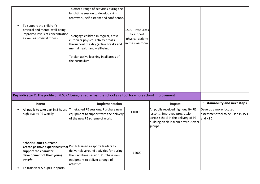| To support the children's<br>physical and mental well-being,<br>as well as physical fitness.                                        | To offer a range of activities during the<br>lunchtime session to develop skills,<br>teamwork, self-esteem and confidence.<br>improved levels of concentration To engage children in regular, cross-<br>curricular physical activity breaks<br>throughout the day (active breaks and<br>mental health and wellbeing).<br>To plan active learning in all areas of<br>the curriculum. | $£500 - resources$<br>to support<br>physical activity<br>in the classroom. |                                                                                                                                                                 |                                                                           |
|-------------------------------------------------------------------------------------------------------------------------------------|-------------------------------------------------------------------------------------------------------------------------------------------------------------------------------------------------------------------------------------------------------------------------------------------------------------------------------------------------------------------------------------|----------------------------------------------------------------------------|-----------------------------------------------------------------------------------------------------------------------------------------------------------------|---------------------------------------------------------------------------|
|                                                                                                                                     | Key indicator 2: The profile of PESSPA being raised across the school as a tool for whole school improvement                                                                                                                                                                                                                                                                        |                                                                            |                                                                                                                                                                 |                                                                           |
| Intent                                                                                                                              | Implementation                                                                                                                                                                                                                                                                                                                                                                      |                                                                            | Impact                                                                                                                                                          | <b>Sustainability and next steps</b>                                      |
| All pupils to take part in 2 hours<br>high quality PE weekly.                                                                       | Timetabled PE sessions. Purchase new<br>equipment to support with the delivery<br>of the new PE scheme of work.                                                                                                                                                                                                                                                                     | £1000                                                                      | All pupils received high quality PE<br>lessons. Improved progression<br>across school in the delivery of PE<br>building on skills from previous year<br>groups. | Develop a more focused<br>assessment tool to be used in KS 1<br>and KS 2. |
| <b>Schools Games outcome -</b><br>support the character<br>development of their young<br>people<br>To train year 5 pupils in sports | Create positive experiences that Pupils trained as sports leaders to<br>deliver playground activities for during<br>the lunchtime session. Purchase new<br>equipment to deliver a range of<br>activities                                                                                                                                                                            | £2000                                                                      |                                                                                                                                                                 |                                                                           |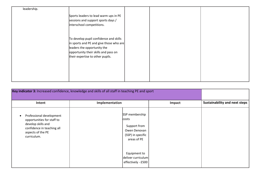| leadership. |                                         |  |
|-------------|-----------------------------------------|--|
|             | Sports leaders to lead warm ups in PE   |  |
|             | sessions and support sports days /      |  |
|             | interschool competitions.               |  |
|             |                                         |  |
|             | To develop pupil confidence and skills  |  |
|             | in sports and PE and give those who are |  |
|             | leaders the opportunity the             |  |
|             | opportunity their skills and pass on    |  |
|             | their expertise to other pupils.        |  |
|             |                                         |  |
|             |                                         |  |
|             |                                         |  |
|             |                                         |  |

| Key indicator 3: Increased confidence, knowledge and skills of all staff in teaching PE and sport                                              |                                                                                                    |        |                                      |
|------------------------------------------------------------------------------------------------------------------------------------------------|----------------------------------------------------------------------------------------------------|--------|--------------------------------------|
| Intent                                                                                                                                         | Implementation                                                                                     | Impact | <b>Sustainability and next steps</b> |
| Professional development<br>opportunities for staff to<br>develop skills and<br>confidence in teaching all<br>aspects of the PE<br>curriculum. | SSP membership<br><b>costs</b><br>Support from<br>Owen Denovan<br>(SSP) in specific<br>areas of PE |        |                                      |
|                                                                                                                                                | Equipment to<br>deliver curriculum<br>effectively - £500                                           |        |                                      |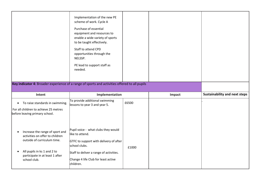|                                                                                                                         | Implementation of the new PE<br>scheme of work. Cycle A<br>Purchase of essential<br>equipment and resources to<br>enable a wide variety of sports<br>to be taught effectively.<br>Staff to attend CPD<br>opportunities through the<br>NELSSP.<br>PE lead to support staff as<br>needed. |       |        |                                      |
|-------------------------------------------------------------------------------------------------------------------------|-----------------------------------------------------------------------------------------------------------------------------------------------------------------------------------------------------------------------------------------------------------------------------------------|-------|--------|--------------------------------------|
|                                                                                                                         | Key indicator 4: Broader experience of a range of sports and activities offered to all pupils                                                                                                                                                                                           |       |        |                                      |
|                                                                                                                         |                                                                                                                                                                                                                                                                                         |       |        |                                      |
| Intent                                                                                                                  | Implementation                                                                                                                                                                                                                                                                          |       | Impact | <b>Sustainability and next steps</b> |
| To raise standards in swimming.<br>$\bullet$<br>For all children to achieve 25 metres<br>before leaving primary school. | To provide additional swimming<br>lessons to year 3 and year 5.                                                                                                                                                                                                                         | £6500 |        |                                      |